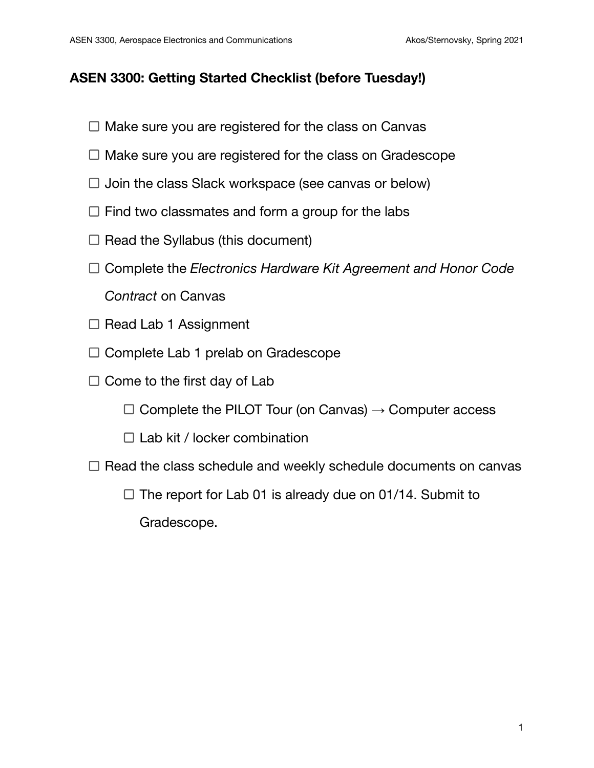# **ASEN 3300: Getting Started Checklist (before Tuesday!)**

- $\Box$  Make sure you are registered for the class on Canvas
- $\Box$  Make sure you are registered for the class on Gradescope
- $\Box$  Join the class Slack workspace (see canvas or below)
- $\Box$  Find two classmates and form a group for the labs
- $\Box$  Read the Syllabus (this document)
- Complete the *Electronics Hardware Kit Agreement and Honor Code Contract* on Canvas
- $\Box$  Read Lab 1 Assignment
- $\Box$  Complete Lab 1 prelab on Gradescope
- $\Box$  Come to the first day of Lab
	- $\Box$  Complete the PILOT Tour (on Canvas)  $\rightarrow$  Computer access
	- $\Box$  Lab kit / locker combination
- $\Box$  Read the class schedule and weekly schedule documents on canvas
	- $\Box$  The report for Lab 01 is already due on 01/14. Submit to Gradescope.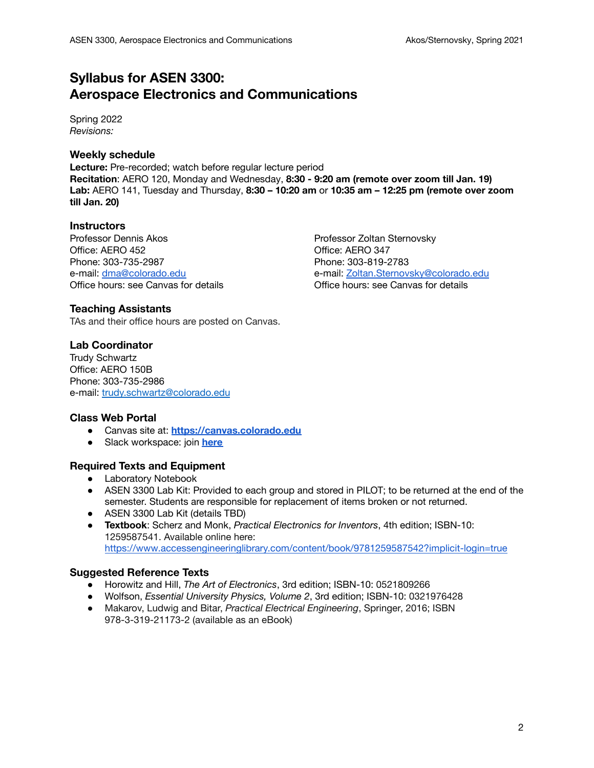# **Syllabus for ASEN 3300: Aerospace Electronics and Communications**

Spring 2022 *Revisions:*

## **Weekly schedule**

**Lecture:** Pre-recorded; watch before regular lecture period **Recitation**: AERO 120, Monday and Wednesday, **8:30 - 9:20 am (remote over zoom till Jan. 19) Lab:** AERO 141, Tuesday and Thursday, **8:30 – 10:20 am** or **10:35 am – 12:25 pm (remote over zoom till Jan. 20)**

## **Instructors**

Professor Dennis Akos Professor Zoltan Sternovsky Office: AERO 452 Channels Communication Communication Communication Communication Communication Communication Communication Communication Communication Communication Communication Communication Communication Communication Phone: 303-735-2987 Phone: 303-819-2783

## **Teaching Assistants**

TAs and their office hours are posted on Canvas.

## **Lab Coordinator**

Trudy Schwartz Office: AERO 150B Phone: 303-735-2986 e-mail: [trudy.schwartz@colorado.edu](mailto:trudy.schwartz@colorado.edu)

#### **Class Web Portal**

- Canvas site at: **<https://canvas.colorado.edu>**
- Slack workspace: join **[here](http://asen3300elect-mmk5832.slack.com)**

## **Required Texts and Equipment**

- Laboratory Notebook
- ASEN 3300 Lab Kit: Provided to each group and stored in PILOT; to be returned at the end of the semester. Students are responsible for replacement of items broken or not returned.
- ASEN 3300 Lab Kit (details TBD)
- **Textbook**: Scherz and Monk, *Practical Electronics for Inventors*, 4th edition; ISBN-10: 1259587541. Available online here: <https://www.accessengineeringlibrary.com/content/book/9781259587542?implicit-login=true>

## **Suggested Reference Texts**

- Horowitz and Hill, *The Art of Electronics*, 3rd edition; ISBN-10: 0521809266
- Wolfson, *Essential University Physics, Volume 2*, 3rd edition; ISBN-10: 0321976428
- Makarov, Ludwig and Bitar, *Practical Electrical Engineering*, Springer, 2016; ISBN 978-3-319-21173-2 (available as an eBook)

e-mail: [dma@colorado.edu](mailto:dma@colorado.edu) e-mail: [Zoltan.Sternovsky@colorado.edu](mailto:Zoltan.Sternovsky@colorado.edu) Office hours: see Canvas for details Office hours: see Canvas for details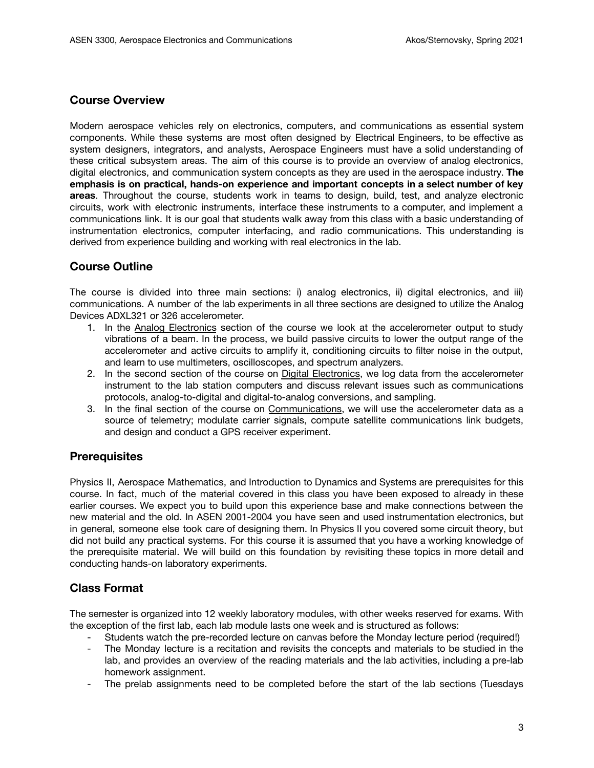## **Course Overview**

Modern aerospace vehicles rely on electronics, computers, and communications as essential system components. While these systems are most often designed by Electrical Engineers, to be effective as system designers, integrators, and analysts, Aerospace Engineers must have a solid understanding of these critical subsystem areas. The aim of this course is to provide an overview of analog electronics, digital electronics, and communication system concepts as they are used in the aerospace industry. **The emphasis is on practical, hands-on experience and important concepts in a select number of key areas**. Throughout the course, students work in teams to design, build, test, and analyze electronic circuits, work with electronic instruments, interface these instruments to a computer, and implement a communications link. It is our goal that students walk away from this class with a basic understanding of instrumentation electronics, computer interfacing, and radio communications. This understanding is derived from experience building and working with real electronics in the lab.

# **Course Outline**

The course is divided into three main sections: i) analog electronics, ii) digital electronics, and iii) communications. A number of the lab experiments in all three sections are designed to utilize the Analog Devices ADXL321 or 326 accelerometer.

- 1. In the Analog Electronics section of the course we look at the accelerometer output to study vibrations of a beam. In the process, we build passive circuits to lower the output range of the accelerometer and active circuits to amplify it, conditioning circuits to filter noise in the output, and learn to use multimeters, oscilloscopes, and spectrum analyzers.
- 2. In the second section of the course on Digital Electronics, we log data from the accelerometer instrument to the lab station computers and discuss relevant issues such as communications protocols, analog-to-digital and digital-to-analog conversions, and sampling.
- 3. In the final section of the course on Communications, we will use the accelerometer data as a source of telemetry; modulate carrier signals, compute satellite communications link budgets, and design and conduct a GPS receiver experiment.

# **Prerequisites**

Physics II, Aerospace Mathematics, and Introduction to Dynamics and Systems are prerequisites for this course. In fact, much of the material covered in this class you have been exposed to already in these earlier courses. We expect you to build upon this experience base and make connections between the new material and the old. In ASEN 2001-2004 you have seen and used instrumentation electronics, but in general, someone else took care of designing them. In Physics II you covered some circuit theory, but did not build any practical systems. For this course it is assumed that you have a working knowledge of the prerequisite material. We will build on this foundation by revisiting these topics in more detail and conducting hands-on laboratory experiments.

# **Class Format**

The semester is organized into 12 weekly laboratory modules, with other weeks reserved for exams. With the exception of the first lab, each lab module lasts one week and is structured as follows:

- Students watch the pre-recorded lecture on canvas before the Monday lecture period (required!)
- The Monday lecture is a recitation and revisits the concepts and materials to be studied in the lab, and provides an overview of the reading materials and the lab activities, including a pre-lab homework assignment.
- The prelab assignments need to be completed before the start of the lab sections (Tuesdays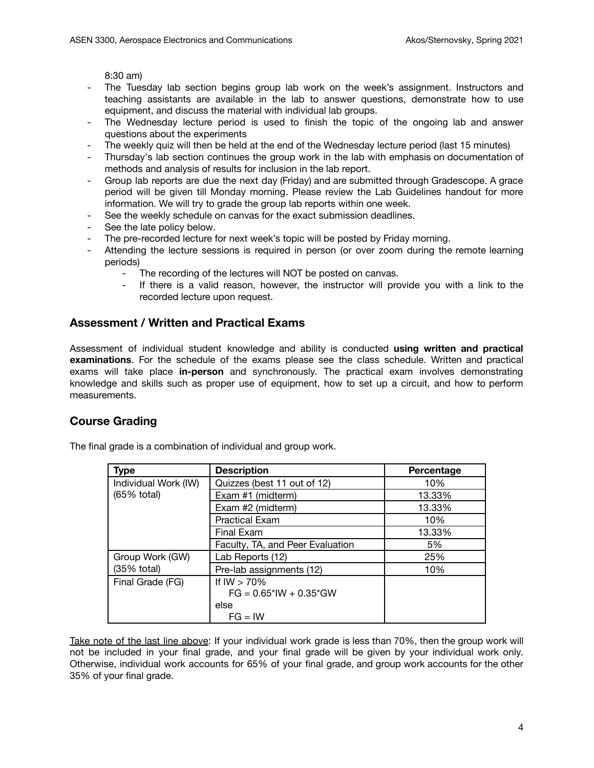8:30 am)

- The Tuesday lab section begins group lab work on the week's assignment. Instructors and teaching assistants are available in the lab to answer questions, demonstrate how to use equipment, and discuss the material with individual lab groups.
- The Wednesday lecture period is used to finish the topic of the ongoing lab and answer questions about the experiments
- The weekly quiz will then be held at the end of the Wednesday lecture period (last 15 minutes)
- Thursday's lab section continues the group work in the lab with emphasis on documentation of methods and analysis of results for inclusion in the lab report.
- Group lab reports are due the next day (Friday) and are submitted through Gradescope. A grace period will be given till Monday morning. Please review the Lab Guidelines handout for more information. We will try to grade the group lab reports within one week.
- See the weekly schedule on canvas for the exact submission deadlines.
- See the late policy below.
- The pre-recorded lecture for next week's topic will be posted by Friday morning.
- Attending the lecture sessions is required in person (or over zoom during the remote learning periods)
	- The recording of the lectures will NOT be posted on canvas.
	- If there is a valid reason, however, the instructor will provide you with a link to the recorded lecture upon request.

## **Assessment / Written and Practical Exams**

Assessment of individual student knowledge and ability is conducted **using written and practical examinations**. For the schedule of the exams please see the class schedule. Written and practical exams will take place **in-person** and synchronously. The practical exam involves demonstrating knowledge and skills such as proper use of equipment, how to set up a circuit, and how to perform measurements.

## **Course Grading**

The final grade is a combination of individual and group work.

| Type                 | <b>Description</b>               | Percentage |
|----------------------|----------------------------------|------------|
| Individual Work (IW) | Quizzes (best 11 out of 12)      | 10%        |
| (65% total)          | Exam #1 (midterm)                | 13.33%     |
|                      | Exam #2 (midterm)                | 13.33%     |
|                      | <b>Practical Exam</b>            | 10%        |
|                      | Final Exam                       | 13.33%     |
|                      | Faculty, TA, and Peer Evaluation | 5%         |
| Group Work (GW)      | Lab Reports (12)                 | 25%        |
| (35% total)          | Pre-lab assignments (12)         | 10%        |
| Final Grade (FG)     | If $IW > 70\%$                   |            |
|                      | $FG = 0.65^*$ IW + 0.35 $^*$ GW  |            |
|                      | else                             |            |
|                      | $FG = IW$                        |            |

Take note of the last line above: If your individual work grade is less than 70%, then the group work will not be included in your final grade, and your final grade will be given by your individual work only. Otherwise, individual work accounts for 65% of your final grade, and group work accounts for the other 35% of your final grade.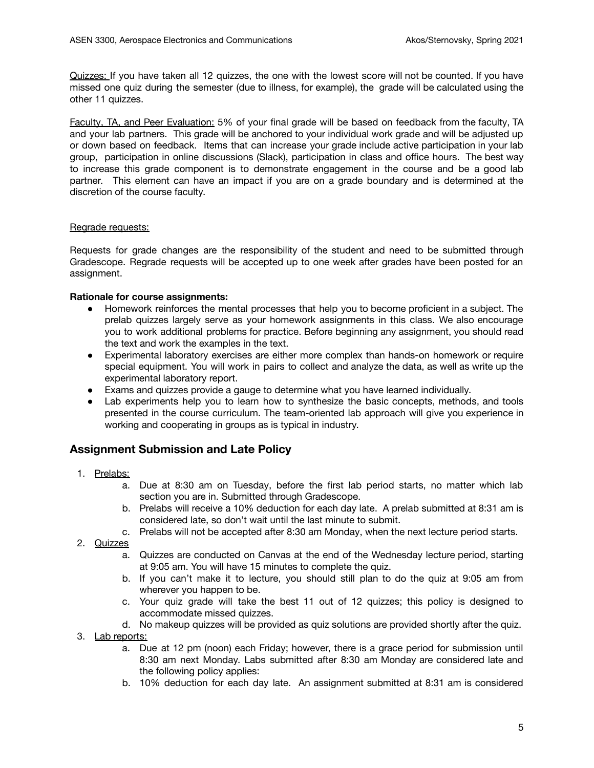Quizzes: If you have taken all 12 quizzes, the one with the lowest score will not be counted. If you have missed one quiz during the semester (due to illness, for example), the grade will be calculated using the other 11 quizzes.

Faculty, TA, and Peer Evaluation: 5% of your final grade will be based on feedback from the faculty, TA and your lab partners. This grade will be anchored to your individual work grade and will be adjusted up or down based on feedback. Items that can increase your grade include active participation in your lab group, participation in online discussions (Slack), participation in class and office hours. The best way to increase this grade component is to demonstrate engagement in the course and be a good lab partner. This element can have an impact if you are on a grade boundary and is determined at the discretion of the course faculty.

#### Regrade requests:

Requests for grade changes are the responsibility of the student and need to be submitted through Gradescope. Regrade requests will be accepted up to one week after grades have been posted for an assignment.

#### **Rationale for course assignments:**

- Homework reinforces the mental processes that help you to become proficient in a subject. The prelab quizzes largely serve as your homework assignments in this class. We also encourage you to work additional problems for practice. Before beginning any assignment, you should read the text and work the examples in the text.
- Experimental laboratory exercises are either more complex than hands-on homework or require special equipment. You will work in pairs to collect and analyze the data, as well as write up the experimental laboratory report.
- Exams and quizzes provide a gauge to determine what you have learned individually.
- Lab experiments help you to learn how to synthesize the basic concepts, methods, and tools presented in the course curriculum. The team-oriented lab approach will give you experience in working and cooperating in groups as is typical in industry.

## **Assignment Submission and Late Policy**

- 1. Prelabs:
	- a. Due at 8:30 am on Tuesday, before the first lab period starts, no matter which lab section you are in. Submitted through Gradescope.
	- b. Prelabs will receive a 10% deduction for each day late. A prelab submitted at 8:31 am is considered late, so don't wait until the last minute to submit.
	- c. Prelabs will not be accepted after 8:30 am Monday, when the next lecture period starts.
- 2. Quizzes
	- a. Quizzes are conducted on Canvas at the end of the Wednesday lecture period, starting at 9:05 am. You will have 15 minutes to complete the quiz.
	- b. If you can't make it to lecture, you should still plan to do the quiz at 9:05 am from wherever you happen to be.
	- c. Your quiz grade will take the best 11 out of 12 quizzes; this policy is designed to accommodate missed quizzes.
	- d. No makeup quizzes will be provided as quiz solutions are provided shortly after the quiz.
- 3. Lab reports:
	- a. Due at 12 pm (noon) each Friday; however, there is a grace period for submission until 8:30 am next Monday. Labs submitted after 8:30 am Monday are considered late and the following policy applies:
	- b. 10% deduction for each day late. An assignment submitted at 8:31 am is considered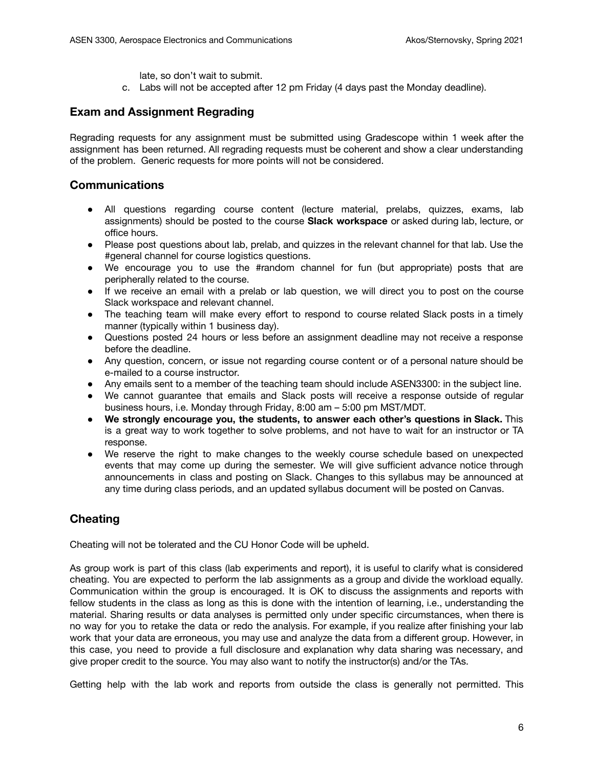late, so don't wait to submit.

c. Labs will not be accepted after 12 pm Friday (4 days past the Monday deadline).

## **Exam and Assignment Regrading**

Regrading requests for any assignment must be submitted using Gradescope within 1 week after the assignment has been returned. All regrading requests must be coherent and show a clear understanding of the problem. Generic requests for more points will not be considered.

## **Communications**

- All questions regarding course content (lecture material, prelabs, quizzes, exams, lab assignments) should be posted to the course **Slack workspace** or asked during lab, lecture, or office hours.
- Please post questions about lab, prelab, and quizzes in the relevant channel for that lab. Use the #general channel for course logistics questions.
- We encourage you to use the #random channel for fun (but appropriate) posts that are peripherally related to the course.
- If we receive an email with a prelab or lab question, we will direct you to post on the course Slack workspace and relevant channel.
- The teaching team will make every effort to respond to course related Slack posts in a timely manner (typically within 1 business day).
- Questions posted 24 hours or less before an assignment deadline may not receive a response before the deadline.
- Any question, concern, or issue not regarding course content or of a personal nature should be e-mailed to a course instructor.
- Any emails sent to a member of the teaching team should include ASEN3300: in the subject line.
- We cannot guarantee that emails and Slack posts will receive a response outside of regular business hours, i.e. Monday through Friday, 8:00 am – 5:00 pm MST/MDT.
- **We strongly encourage you, the students, to answer each other's questions in Slack.** This is a great way to work together to solve problems, and not have to wait for an instructor or TA response.
- We reserve the right to make changes to the weekly course schedule based on unexpected events that may come up during the semester. We will give sufficient advance notice through announcements in class and posting on Slack. Changes to this syllabus may be announced at any time during class periods, and an updated syllabus document will be posted on Canvas.

# **Cheating**

Cheating will not be tolerated and the CU Honor Code will be upheld.

As group work is part of this class (lab experiments and report), it is useful to clarify what is considered cheating. You are expected to perform the lab assignments as a group and divide the workload equally. Communication within the group is encouraged. It is OK to discuss the assignments and reports with fellow students in the class as long as this is done with the intention of learning, i.e., understanding the material. Sharing results or data analyses is permitted only under specific circumstances, when there is no way for you to retake the data or redo the analysis. For example, if you realize after finishing your lab work that your data are erroneous, you may use and analyze the data from a different group. However, in this case, you need to provide a full disclosure and explanation why data sharing was necessary, and give proper credit to the source. You may also want to notify the instructor(s) and/or the TAs.

Getting help with the lab work and reports from outside the class is generally not permitted. This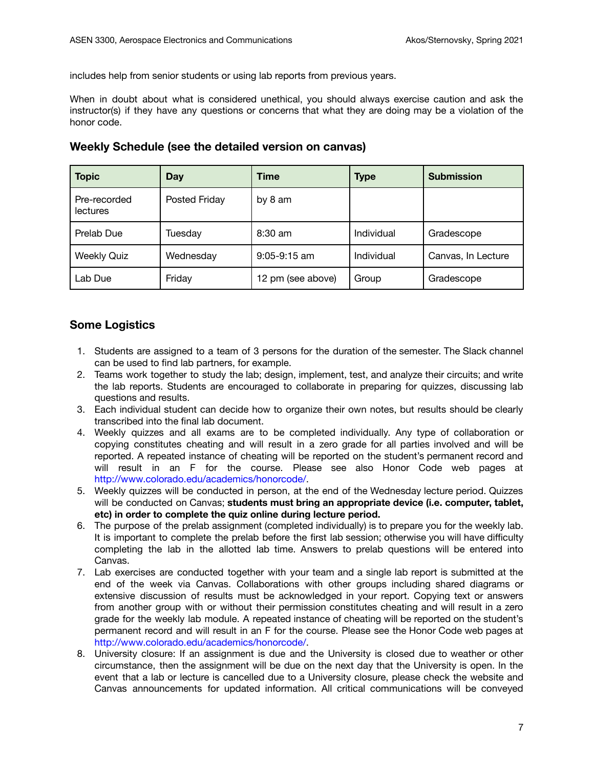includes help from senior students or using lab reports from previous years.

When in doubt about what is considered unethical, you should always exercise caution and ask the instructor(s) if they have any questions or concerns that what they are doing may be a violation of the honor code.

| <b>Topic</b>                    | Day           | Time              | <b>Type</b> | <b>Submission</b>  |
|---------------------------------|---------------|-------------------|-------------|--------------------|
| Pre-recorded<br><b>lectures</b> | Posted Friday | by 8 am           |             |                    |
| Prelab Due                      | Tuesday       | 8:30 am           | Individual  | Gradescope         |
| <b>Weekly Quiz</b>              | Wednesday     | $9:05-9:15$ am    | Individual  | Canvas, In Lecture |
| Lab Due                         | Friday        | 12 pm (see above) | Group       | Gradescope         |

## **Weekly Schedule (see the detailed version on canvas)**

## **Some Logistics**

- 1. Students are assigned to a team of 3 persons for the duration of the semester. The Slack channel can be used to find lab partners, for example.
- 2. Teams work together to study the lab; design, implement, test, and analyze their circuits; and write the lab reports. Students are encouraged to collaborate in preparing for quizzes, discussing lab questions and results.
- 3. Each individual student can decide how to organize their own notes, but results should be clearly transcribed into the final lab document.
- 4. Weekly quizzes and all exams are to be completed individually. Any type of collaboration or copying constitutes cheating and will result in a zero grade for all parties involved and will be reported. A repeated instance of cheating will be reported on the student's permanent record and will result in an F for the course. Please see also Honor Code web pages at http://www.colorado.edu/academics/honorcode/.
- 5. Weekly quizzes will be conducted in person, at the end of the Wednesday lecture period. Quizzes will be conducted on Canvas; **students must bring an appropriate device (i.e. computer, tablet, etc) in order to complete the quiz online during lecture period.**
- 6. The purpose of the prelab assignment (completed individually) is to prepare you for the weekly lab. It is important to complete the prelab before the first lab session; otherwise you will have difficulty completing the lab in the allotted lab time. Answers to prelab questions will be entered into Canvas.
- 7. Lab exercises are conducted together with your team and a single lab report is submitted at the end of the week via Canvas. Collaborations with other groups including shared diagrams or extensive discussion of results must be acknowledged in your report. Copying text or answers from another group with or without their permission constitutes cheating and will result in a zero grade for the weekly lab module. A repeated instance of cheating will be reported on the student's permanent record and will result in an F for the course. Please see the Honor Code web pages at http://www.colorado.edu/academics/honorcode/.
- 8. University closure: If an assignment is due and the University is closed due to weather or other circumstance, then the assignment will be due on the next day that the University is open. In the event that a lab or lecture is cancelled due to a University closure, please check the website and Canvas announcements for updated information. All critical communications will be conveyed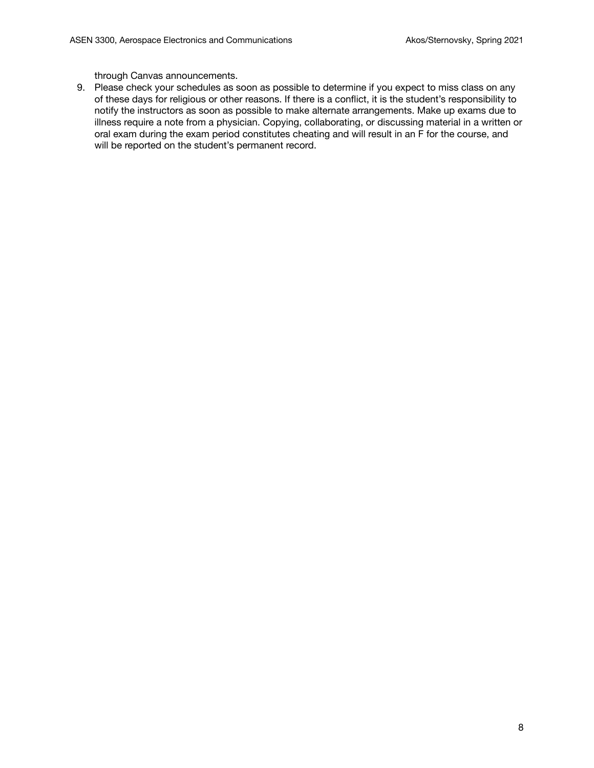through Canvas announcements.

9. Please check your schedules as soon as possible to determine if you expect to miss class on any of these days for religious or other reasons. If there is a conflict, it is the student's responsibility to notify the instructors as soon as possible to make alternate arrangements. Make up exams due to illness require a note from a physician. Copying, collaborating, or discussing material in a written or oral exam during the exam period constitutes cheating and will result in an F for the course, and will be reported on the student's permanent record.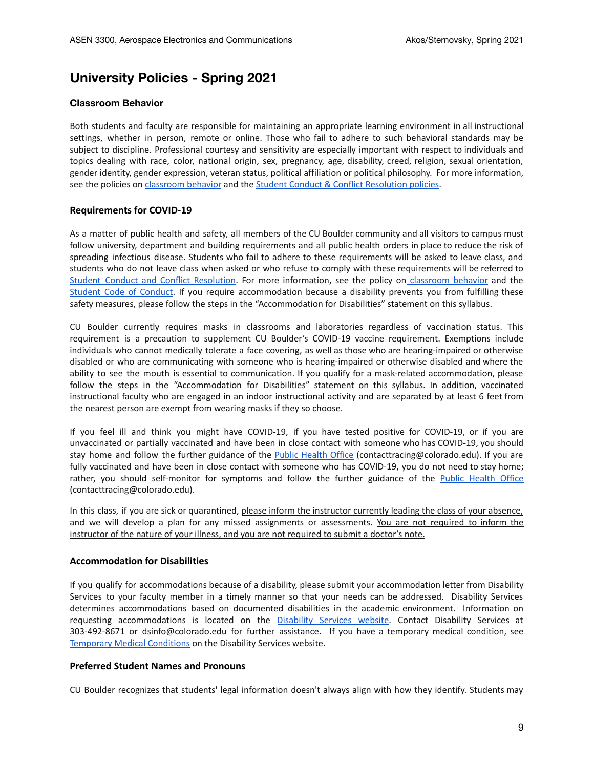# **University Policies - Spring 2021**

#### **Classroom Behavior**

Both students and faculty are responsible for maintaining an appropriate learning environment in all instructional settings, whether in person, remote or online. Those who fail to adhere to such behavioral standards may be subject to discipline. Professional courtesy and sensitivity are especially important with respect to individuals and topics dealing with race, color, national origin, sex, pregnancy, age, disability, creed, religion, sexual orientation, gender identity, gender expression, veteran status, political affiliation or political philosophy. For more information, see the policies on [classroom](http://www.colorado.edu/policies/student-classroom-and-course-related-behavior) behavior and the Student Conduct & Conflict [Resolution](https://www.colorado.edu/sccr/student-conduct) policies.

#### **Requirements for COVID-19**

As a matter of public health and safety, all members of the CU Boulder community and all visitors to campus must follow university, department and building requirements and all public health orders in place to reduce the risk of spreading infectious disease. Students who fail to adhere to these requirements will be asked to leave class, and students who do not leave class when asked or who refuse to comply with these requirements will be referred to Student Conduct and Conflict [Resolution](https://www.colorado.edu/sccr/). For more information, see the policy on [classroom](http://www.colorado.edu/policies/student-classroom-and-course-related-behavior) b[e](http://www.colorado.edu/osccr/)havior and the Student Code of [Conduct](http://www.colorado.edu/osccr/). If you require accommodation because a disability prevents you from fulfilling these safety measures, please follow the steps in the "Accommodation for Disabilities" statement on this syllabus.

CU Boulder currently requires masks in classrooms and laboratories regardless of vaccination status. This requirement is a precaution to supplement CU Boulder's COVID-19 vaccine requirement. Exemptions include individuals who cannot medically tolerate a face covering, as well as those who are hearing-impaired or otherwise disabled or who are communicating with someone who is hearing-impaired or otherwise disabled and where the ability to see the mouth is essential to communication. If you qualify for a mask-related accommodation, please follow the steps in the "Accommodation for Disabilities" statement on this syllabus. In addition, vaccinated instructional faculty who are engaged in an indoor instructional activity and are separated by at least 6 feet from the nearest person are exempt from wearing masks if they so choose.

If you feel ill and think you might have COVID-19, if you have tested positive for COVID-19, or if you are unvaccinated or partially vaccinated and have been in close contact with someone who has COVID-19, you should stay home and follow the further guidance of the Public [Health](https://www.colorado.edu/health/public-health/quarantine-and-isolation) Office (contacttracing@colorado.edu). If you are fully vaccinated and have been in close contact with someone who has COVID-19, you do not need to stay home; rather, you should self-monitor for symptoms and follow the further guidance of the Public [Health](https://www.colorado.edu/health/public-health/quarantine-and-isolation) Office (contacttracing@colorado.edu).

In this class, if you are sick or quarantined, please inform the instructor currently leading the class of your absence, and we will develop a plan for any missed assignments or assessments. You are not required to inform the instructor of the nature of your illness, and you are not required to submit a doctor's note.

#### **Accommodation for Disabilities**

If you qualify for accommodations because of a disability, please submit your accommodation letter from Disability Services to your faculty member in a timely manner so that your needs can be addressed. Disability Services determines accommodations based on documented disabilities in the academic environment. Information on requesting accommodations is located on the [Disability](https://www.colorado.edu/disabilityservices/) Services website. Contact Disability Services at 303-492-8671 or dsinfo@colorado.edu for further assistance. If you have a temporary medical condition, see [Temporary](http://www.colorado.edu/disabilityservices/students/temporary-medical-conditions) Medical Conditions on the Disability Services website.

#### **Preferred Student Names and Pronouns**

CU Boulder recognizes that students' legal information doesn't always align with how they identify. Students may